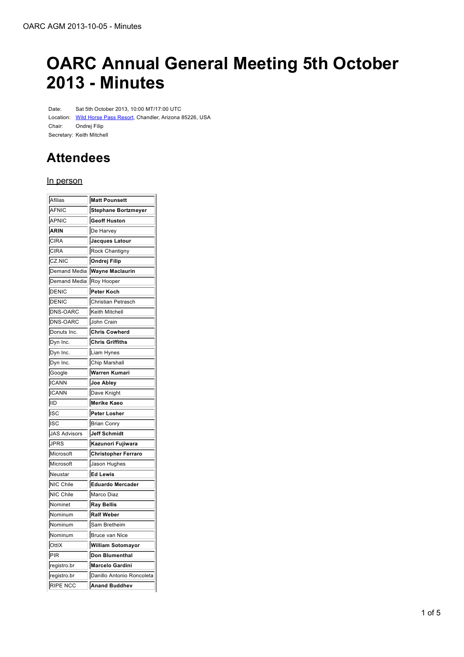# **OARC Annual General Meeting 5th October 2013 - Minutes**

Date: Sat 5th October 2013, 10:00 MT/17:00 UTC Location: Wild Horse Pass Resort, Chandler, Arizona 85226, USA Chair: Ondrej Filip Secretary: Keith Mitchell

## **Attendees**

#### In person

| Afilias         | <b>Matt Pounsett</b>       |
|-----------------|----------------------------|
| AFNIC           | <b>Stephane Bortzmeyer</b> |
| APNIC           | <b>Geoff Huston</b>        |
| <b>ARIN</b>     | De Harvey                  |
| <b>CIRA</b>     | <b>Jacques Latour</b>      |
| <b>CIRA</b>     | Rock Chantigny             |
| CZ.NIC          | Ondrej Filip               |
| Demand Media    | <b>Wayne Maclaurin</b>     |
| Demand Media    | Roy Hooper                 |
| DENIC           | Peter Koch                 |
| DENIC           | Christian Petrasch         |
| DNS-OARC        | Keith Mitchell             |
| <b>DNS-OARC</b> | John Crain                 |
| Donuts Inc.     | <b>Chris Cowherd</b>       |
| Dyn Inc.        | <b>Chris Griffiths</b>     |
| Dyn Inc.        | Liam Hynes                 |
| Dyn Inc.        | Chip Marshall              |
| Google          | Warren Kumari              |
| <b>ICANN</b>    | Joe Abley                  |
| <b>ICANN</b>    | Dave Knight                |
| liid            | <b>Merike Kaeo</b>         |
| ∣ısc            | Peter Losher               |
| ISC             | Brian Conry                |
| JAS Advisors    | Jeff Schmidt               |
| <b>JPRS</b>     | Kazunori Fujiwara          |
| Microsoft       | <b>Christopher Ferraro</b> |
| Microsoft       | Jason Hughes               |
| Neustar         | <b>Ed Lewis</b>            |
| NIC Chile       | <b>Eduardo Mercader</b>    |
| NIC Chile       | Marco Diaz                 |
| Nominet         | <b>Ray Bellis</b>          |
| Nominum         | <b>Ralf Weber</b>          |
| Nominum         | Sam Bretheim               |
| Nominum         | Bruce van Nice             |
| OttlX           | <b>William Sotomayor</b>   |
| ∣PIR            | Don Blumenthal             |
| registro.br     | Marcelo Gardini            |
| registro.br     | Danillo Antonio Roncoleta  |
| <b>RIPE NCC</b> | <b>Anand Buddhev</b>       |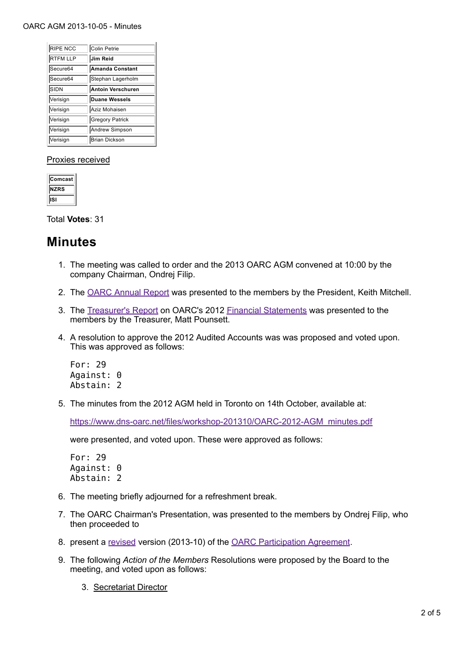#### OARC AGM 2013-10-05 - Minutes

| <b>RIPE NCC</b> | Colin Petrie           |
|-----------------|------------------------|
| <b>RTFM LLP</b> | Jim Reid               |
| Secure64        | Amanda Constant        |
| Secure64        | Stephan Lagerholm      |
| <b>SIDN</b>     | Antoin Verschuren      |
|                 |                        |
| Verisign        | <b>Duane Wessels</b>   |
| Verisign        | Aziz Mohaisen          |
| Verisign        | <b>Gregory Patrick</b> |
| Verisign        | Andrew Simpson         |

#### Proxies received

| omcast      |  |
|-------------|--|
| <b>NZRS</b> |  |
| SI          |  |

Total **Votes**: 31

### **Minutes**

- 1. The meeting was called to order and the 2013 OARC AGM convened at 10:00 by the company Chairman, Ondrej Filip.
- 2. The OARC Annual Report was presented to the members by the President, Keith Mitchell.
- 3. The Treasurer's Report on OARC's 2012 Financial Statements was presented to the members by the Treasurer, Matt Pounsett.
- 4. A resolution to approve the 2012 Audited Accounts was was proposed and voted upon. This was approved as follows:

For: 29 Against: 0 Abstain: 2

5. The minutes from the 2012 AGM held in Toronto on 14th October, available at:

https://www.dns-oarc.net/files/workshop-201310/OARC-2012-AGM\_minutes.pdf

were presented, and voted upon. These were approved as follows:

For: 29 Against: 0 Abstain: 2

- 6. The meeting briefly adjourned for a refreshment break.
- 7. The OARC Chairman's Presentation, was presented to the members by Ondrej Filip, who then proceeded to
- 8. present a revised version (2013-10) of the OARC Participation Agreement.
- The following *Action of the Members* Resolutions were proposed by the Board to the 9. meeting, and voted upon as follows:
	- 3. Secretariat Director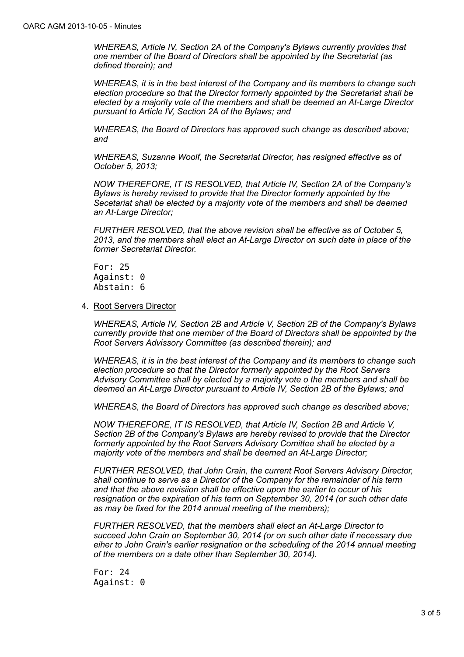*WHEREAS, Article IV, Section 2A of the Company's Bylaws currently provides that one member of the Board of Directors shall be appointed by the Secretariat (as defined therein); and*

*WHEREAS, it is in the best interest of the Company and its members to change such election procedure so that the Director formerly appointed by the Secretariat shall be elected by a majority vote of the members and shall be deemed an At-Large Director pursuant to Article IV, Section 2A of the Bylaws; and*

*WHEREAS, the Board of Directors has approved such change as described above; and*

*WHEREAS, Suzanne Woolf, the Secretariat Director, has resigned effective as of October 5, 2013;*

*NOW THEREFORE, IT IS RESOLVED, that Article IV, Section 2A of the Company's Bylaws is hereby revised to provide that the Director formerly appointed by the Secetariat shall be elected by a majority vote of the members and shall be deemed an At-Large Director;*

*FURTHER RESOLVED, that the above revision shall be effective as of October 5, 2013, and the members shall elect an At-Large Director on such date in place of the former Secretariat Director.*

For: 25 Against: 0 Abstain: 6

4. Root Servers Director

*WHEREAS, Article IV, Section 2B and Article V, Section 2B of the Company's Bylaws currently provide that one member of the Board of Directors shall be appointed by the Root Servers Advissory Committee (as described therein); and*

*WHEREAS, it is in the best interest of the Company and its members to change such election procedure so that the Director formerly appointed by the Root Servers Advisory Committee shall by elected by a majority vote o the members and shall be deemed an At-Large Director pursuant to Article IV, Section 2B of the Bylaws; and*

*WHEREAS, the Board of Directors has approved such change as described above;*

*NOW THEREFORE, IT IS RESOLVED, that Article IV, Section 2B and Article V, Section 2B of the Company's Bylaws are hereby revised to provide that the Director formerly appointed by the Root Servers Advisory Comittee shall be elected by a majority vote of the members and shall be deemed an At-Large Director;*

*FURTHER RESOLVED, that John Crain, the current Root Servers Advisory Director, shall continue to serve as a Director of the Company for the remainder of his term and that the above revisiion shall be effective upon the earlier to occur of his resignation or the expiration of his term on September 30, 2014 (or such other date as may be fixed for the 2014 annual meeting of the members);*

*FURTHER RESOLVED, that the members shall elect an At-Large Director to succeed John Crain on September 30, 2014 (or on such other date if necessary due eiher to John Crain's earlier resignation or the scheduling of the 2014 annual meeting of the members on a date other than September 30, 2014).*

For: 24 Against: 0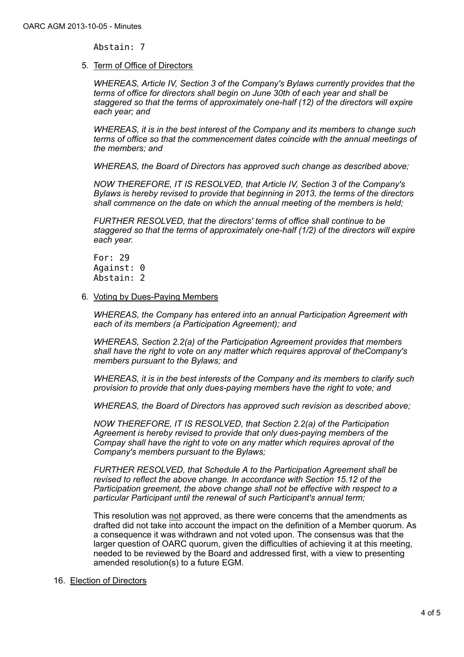Abstain: 7

5. Term of Office of Directors

*WHEREAS, Article IV, Section 3 of the Company's Bylaws currently provides that the terms of office for directors shall begin on June 30th of each year and shall be staggered so that the terms of approximately one-half (12) of the directors will expire each year; and*

*WHEREAS, it is in the best interest of the Company and its members to change such terms of office so that the commencement dates coincide with the annual meetings of the members; and*

*WHEREAS, the Board of Directors has approved such change as described above;*

*NOW THEREFORE, IT IS RESOLVED, that Article IV, Section 3 of the Company's Bylaws is hereby revised to provide that beginning in 2013, the terms of the directors shall commence on the date on which the annual meeting of the members is held;*

*FURTHER RESOLVED, that the directors' terms of office shall continue to be staggered so that the terms of approximately one-half (1/2) of the directors will expire each year.*

For: 29 Against: 0 Abstain: 2

#### 6. Voting by Dues-Paying Members

*WHEREAS, the Company has entered into an annual Participation Agreement with each of its members (a Participation Agreement); and*

*WHEREAS, Section 2.2(a) of the Participation Agreement provides that members shall have the right to vote on any matter which requires approval of theCompany's members pursuant to the Bylaws; and*

*WHEREAS, it is in the best interests of the Company and its members to clarify such provision to provide that only dues-paying members have the right to vote; and*

*WHEREAS, the Board of Directors has approved such revision as described above;*

*NOW THEREFORE, IT IS RESOLVED, that Section 2.2(a) of the Participation Agreement is hereby revised to provide that only dues-paying members of the Compay shall have the right to vote on any matter which requires aproval of the Company's members pursuant to the Bylaws;*

*FURTHER RESOLVED, that Schedule A to the Participation Agreement shall be revised to reflect the above change. In accordance with Section 15.12 of the Participation greement, the above change shall not be effective with respect to a particular Participant until the renewal of such Participant's annual term;*

This resolution was not approved, as there were concerns that the amendments as drafted did not take into account the impact on the definition of a Member quorum. As a consequence it was withdrawn and not voted upon. The consensus was that the larger question of OARC quorum, given the difficulties of achieving it at this meeting, needed to be reviewed by the Board and addressed first, with a view to presenting amended resolution(s) to a future EGM.

#### 16. Election of Directors